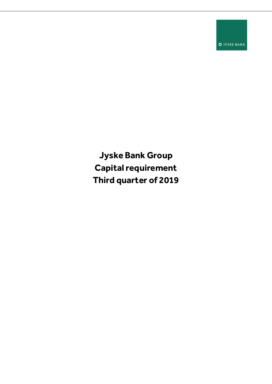**O** JYSKE BANK

**Jyske Bank Group Capital requirement Third quarter of 2019**